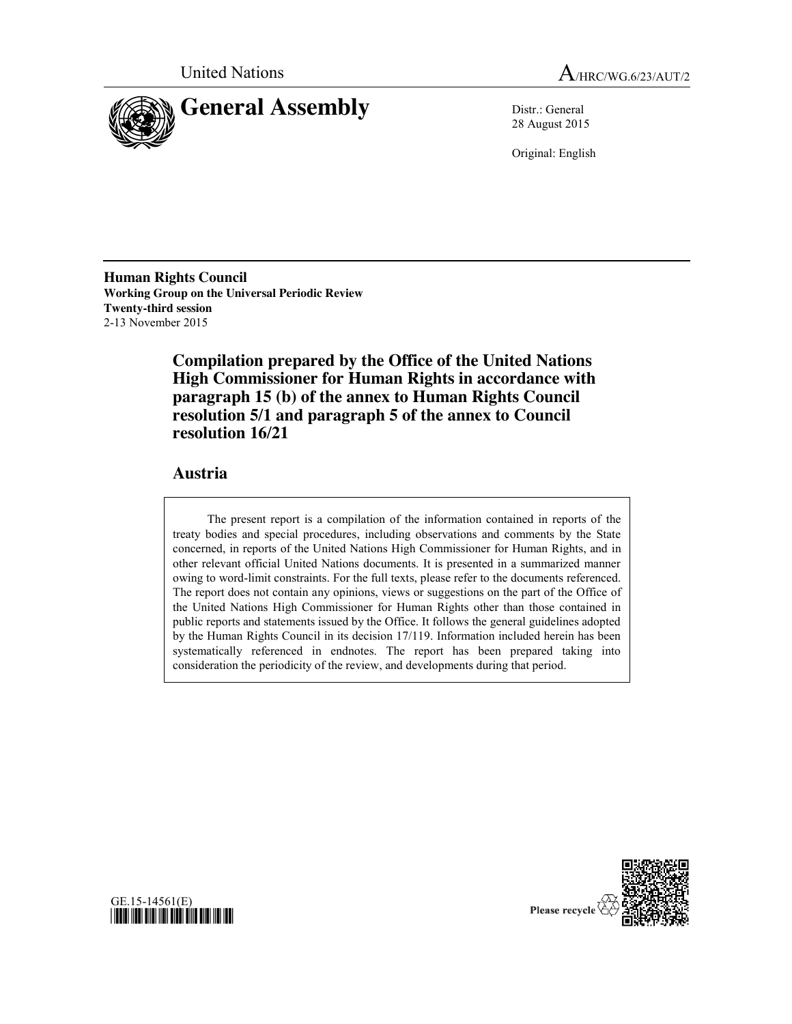



28 August 2015

Original: English

**Human Rights Council Working Group on the Universal Periodic Review Twenty-third session** 2-13 November 2015

> **Compilation prepared by the Office of the United Nations High Commissioner for Human Rights in accordance with paragraph 15 (b) of the annex to Human Rights Council resolution 5/1 and paragraph 5 of the annex to Council resolution 16/21**

## **Austria**

The present report is a compilation of the information contained in reports of the treaty bodies and special procedures, including observations and comments by the State concerned, in reports of the United Nations High Commissioner for Human Rights, and in other relevant official United Nations documents. It is presented in a summarized manner owing to word-limit constraints. For the full texts, please refer to the documents referenced. The report does not contain any opinions, views or suggestions on the part of the Office of the United Nations High Commissioner for Human Rights other than those contained in public reports and statements issued by the Office. It follows the general guidelines adopted by the Human Rights Council in its decision 17/119. Information included herein has been systematically referenced in endnotes. The report has been prepared taking into consideration the periodicity of the review, and developments during that period.



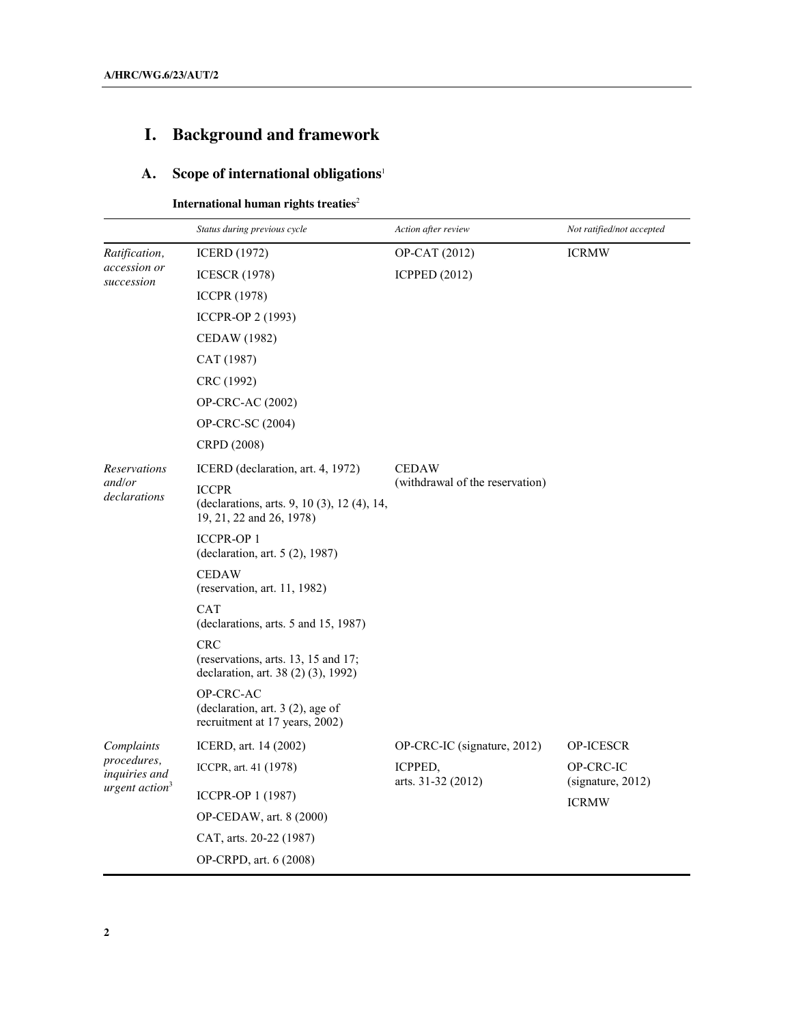# **I. Background and framework**

# **A. Scope of international obligations**<sup>1</sup>

# **International human rights treaties**<sup>2</sup>

|                              | Status during previous cycle                                                             | Action after review             | Not ratified/not accepted      |
|------------------------------|------------------------------------------------------------------------------------------|---------------------------------|--------------------------------|
| Ratification,                | <b>ICERD</b> (1972)                                                                      | OP-CAT (2012)                   | <b>ICRMW</b>                   |
| accession or<br>succession   | <b>ICESCR (1978)</b>                                                                     | <b>ICPPED (2012)</b>            |                                |
|                              | <b>ICCPR (1978)</b>                                                                      |                                 |                                |
|                              | ICCPR-OP 2 (1993)                                                                        |                                 |                                |
|                              | CEDAW (1982)                                                                             |                                 |                                |
|                              | CAT (1987)                                                                               |                                 |                                |
|                              | CRC (1992)                                                                               |                                 |                                |
|                              | OP-CRC-AC (2002)                                                                         |                                 |                                |
|                              | OP-CRC-SC (2004)                                                                         |                                 |                                |
|                              | CRPD (2008)                                                                              |                                 |                                |
| <b>Reservations</b>          | ICERD (declaration, art. 4, 1972)                                                        | <b>CEDAW</b>                    |                                |
| and/or<br>declarations       | <b>ICCPR</b><br>(declarations, arts. 9, 10 (3), 12 (4), 14,<br>19, 21, 22 and 26, 1978)  | (withdrawal of the reservation) |                                |
|                              | <b>ICCPR-OP 1</b><br>(declaration, art. 5 (2), 1987)                                     |                                 |                                |
|                              | <b>CEDAW</b><br>(reservation, art. 11, 1982)                                             |                                 |                                |
|                              | <b>CAT</b><br>(declarations, arts. 5 and 15, 1987)                                       |                                 |                                |
|                              | <b>CRC</b><br>(reservations, arts. 13, 15 and 17;<br>declaration, art. 38 (2) (3), 1992) |                                 |                                |
|                              | OP-CRC-AC<br>(declaration, art. $3(2)$ , age of<br>recruitment at 17 years, 2002)        |                                 |                                |
| Complaints                   | ICERD, art. 14 (2002)                                                                    | OP-CRC-IC (signature, 2012)     | <b>OP-ICESCR</b>               |
| procedures,<br>inquiries and | ICCPR, art. 41 (1978)                                                                    | ICPPED,<br>arts. 31-32 (2012)   | OP-CRC-IC<br>(signature, 2012) |
| urgent action <sup>3</sup>   | ICCPR-OP 1 (1987)                                                                        |                                 | <b>ICRMW</b>                   |
|                              | OP-CEDAW, art. 8 (2000)                                                                  |                                 |                                |
|                              | CAT, arts. 20-22 (1987)                                                                  |                                 |                                |
|                              | OP-CRPD, art. 6 (2008)                                                                   |                                 |                                |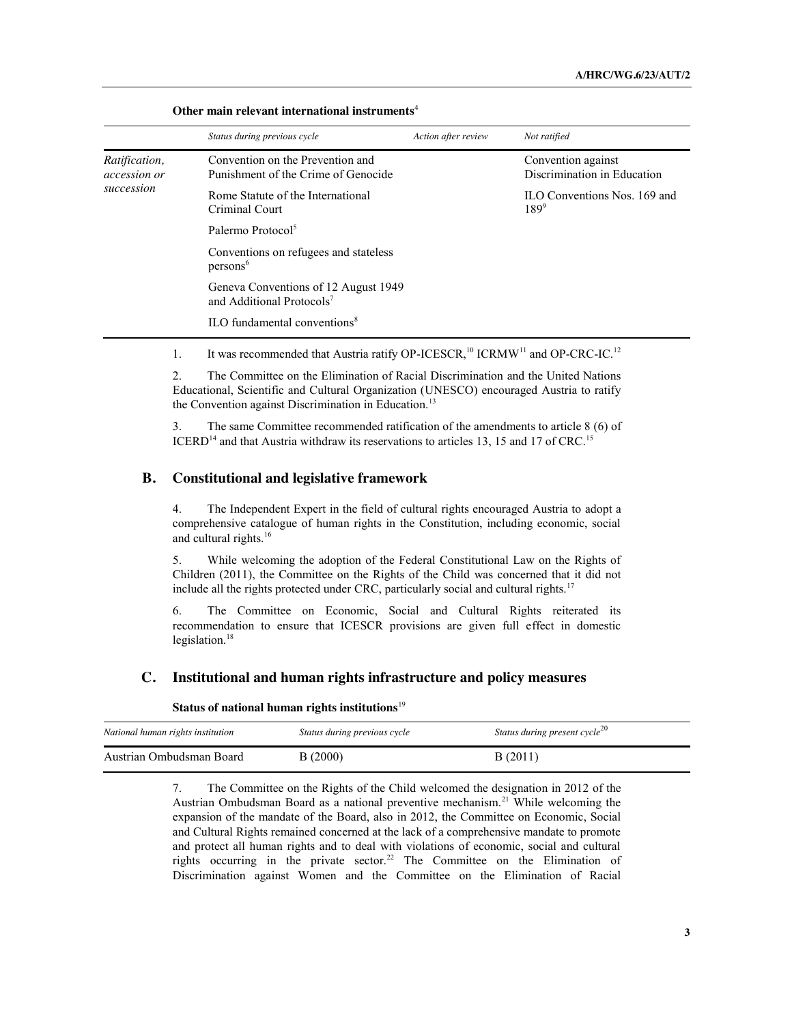|                                                    | Status during previous cycle                                                  | Action after review | Not ratified                                      |
|----------------------------------------------------|-------------------------------------------------------------------------------|---------------------|---------------------------------------------------|
| Ratification,<br><i>accession or</i><br>succession | Convention on the Prevention and<br>Punishment of the Crime of Genocide       |                     | Convention against<br>Discrimination in Education |
|                                                    | Rome Statute of the International<br>Criminal Court                           |                     | ILO Conventions Nos. 169 and<br>$189^{9}$         |
|                                                    | Palermo Protocol <sup>5</sup>                                                 |                     |                                                   |
|                                                    | Conventions on refugees and stateless<br>persons <sup>6</sup>                 |                     |                                                   |
|                                                    | Geneva Conventions of 12 August 1949<br>and Additional Protocols <sup>7</sup> |                     |                                                   |
|                                                    | $\mathrm{ILO}$ fundamental conventions <sup>8</sup>                           |                     |                                                   |

**Other main relevant international instruments**<sup>4</sup>

1. It was recommended that Austria ratify OP-ICESCR,<sup>10</sup> ICRMW<sup>11</sup> and OP-CRC-IC.<sup>12</sup>

2. The Committee on the Elimination of Racial Discrimination and the United Nations Educational, Scientific and Cultural Organization (UNESCO) encouraged Austria to ratify the Convention against Discrimination in Education.<sup>13</sup>

3. The same Committee recommended ratification of the amendments to article 8 (6) of ICERD<sup>14</sup> and that Austria withdraw its reservations to articles 13, 15 and 17 of CRC.<sup>15</sup>

#### **B. Constitutional and legislative framework**

4. The Independent Expert in the field of cultural rights encouraged Austria to adopt a comprehensive catalogue of human rights in the Constitution, including economic, social and cultural rights.<sup>16</sup>

5. While welcoming the adoption of the Federal Constitutional Law on the Rights of Children (2011), the Committee on the Rights of the Child was concerned that it did not include all the rights protected under CRC, particularly social and cultural rights.<sup>17</sup>

6. The Committee on Economic, Social and Cultural Rights reiterated its recommendation to ensure that ICESCR provisions are given full effect in domestic legislation.<sup>18</sup>

#### **C. Institutional and human rights infrastructure and policy measures**

**Status of national human rights institutions**<sup>19</sup>

| National human rights institution | Status during previous cycle | Status during present cycle <sup>20</sup> |
|-----------------------------------|------------------------------|-------------------------------------------|
| Austrian Ombudsman Board          | B(2000)                      | B(2011)                                   |

7. The Committee on the Rights of the Child welcomed the designation in 2012 of the Austrian Ombudsman Board as a national preventive mechanism.<sup>21</sup> While welcoming the expansion of the mandate of the Board, also in 2012, the Committee on Economic, Social and Cultural Rights remained concerned at the lack of a comprehensive mandate to promote and protect all human rights and to deal with violations of economic, social and cultural rights occurring in the private sector.<sup>22</sup> The Committee on the Elimination of Discrimination against Women and the Committee on the Elimination of Racial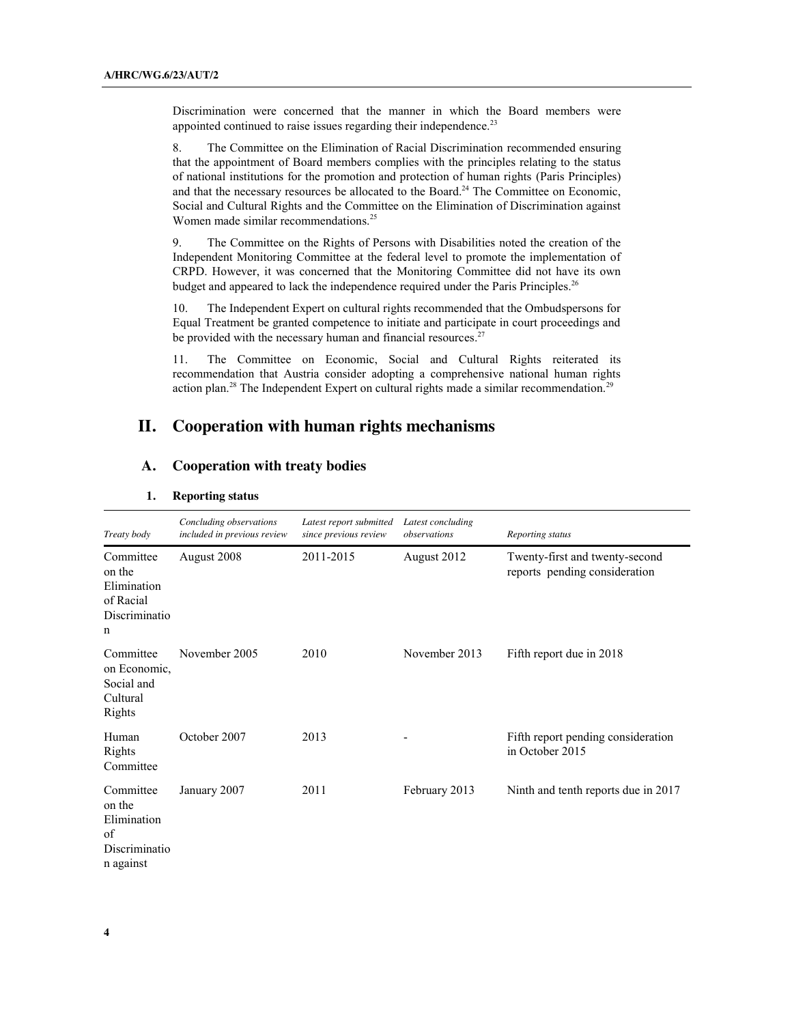Discrimination were concerned that the manner in which the Board members were appointed continued to raise issues regarding their independence.<sup>23</sup>

8. The Committee on the Elimination of Racial Discrimination recommended ensuring that the appointment of Board members complies with the principles relating to the status of national institutions for the promotion and protection of human rights (Paris Principles) and that the necessary resources be allocated to the Board.<sup>24</sup> The Committee on Economic, Social and Cultural Rights and the Committee on the Elimination of Discrimination against Women made similar recommendations.<sup>25</sup>

9. The Committee on the Rights of Persons with Disabilities noted the creation of the Independent Monitoring Committee at the federal level to promote the implementation of CRPD. However, it was concerned that the Monitoring Committee did not have its own budget and appeared to lack the independence required under the Paris Principles.<sup>26</sup>

10. The Independent Expert on cultural rights recommended that the Ombudspersons for Equal Treatment be granted competence to initiate and participate in court proceedings and be provided with the necessary human and financial resources.<sup>27</sup>

11. The Committee on Economic, Social and Cultural Rights reiterated its recommendation that Austria consider adopting a comprehensive national human rights action plan.<sup>28</sup> The Independent Expert on cultural rights made a similar recommendation.<sup>29</sup>

# **II. Cooperation with human rights mechanisms**

## **A. Cooperation with treaty bodies**

| Treaty body                                                            | Concluding observations<br>included in previous review | Latest report submitted<br>since previous review | Latest concluding<br>observations | Reporting status                                                |
|------------------------------------------------------------------------|--------------------------------------------------------|--------------------------------------------------|-----------------------------------|-----------------------------------------------------------------|
| Committee<br>on the<br>Elimination<br>of Racial<br>Discriminatio<br>n  | August 2008                                            | 2011-2015                                        | August 2012                       | Twenty-first and twenty-second<br>reports pending consideration |
| Committee<br>on Economic,<br>Social and<br>Cultural<br>Rights          | November 2005                                          | 2010                                             | November 2013                     | Fifth report due in 2018                                        |
| Human<br>Rights<br>Committee                                           | October 2007                                           | 2013                                             |                                   | Fifth report pending consideration<br>in October 2015           |
| Committee<br>on the<br>Elimination<br>of<br>Discriminatio<br>n against | January 2007                                           | 2011                                             | February 2013                     | Ninth and tenth reports due in 2017                             |

#### **1. Reporting status**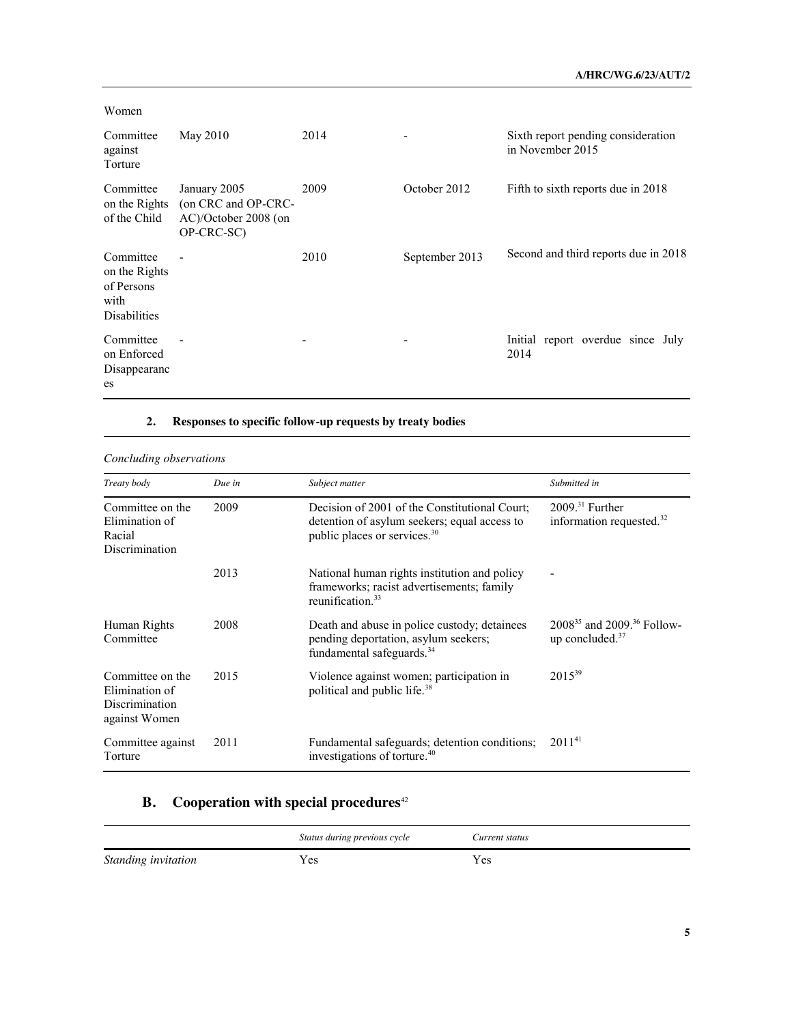| Women                                                                   |                                                                           |      |                |                                                        |
|-------------------------------------------------------------------------|---------------------------------------------------------------------------|------|----------------|--------------------------------------------------------|
| Committee<br>against<br>Torture                                         | May 2010                                                                  | 2014 |                | Sixth report pending consideration<br>in November 2015 |
| Committee<br>on the Rights<br>of the Child                              | January 2005<br>(on CRC and OP-CRC-<br>AC)/October 2008 (on<br>OP-CRC-SC) | 2009 | October 2012   | Fifth to sixth reports due in 2018                     |
| Committee<br>on the Rights<br>of Persons<br>with<br><b>Disabilities</b> |                                                                           | 2010 | September 2013 | Second and third reports due in 2018                   |
| Committee<br>on Enforced<br>Disappearanc<br>es                          |                                                                           | ٠    |                | Initial report overdue since July<br>2014              |

## **2. Responses to specific follow-up requests by treaty bodies**

| Concluding observations                                                      |        |                                                                                                                                           |                                                           |
|------------------------------------------------------------------------------|--------|-------------------------------------------------------------------------------------------------------------------------------------------|-----------------------------------------------------------|
| Treaty body                                                                  | Due in | Subject matter                                                                                                                            | Submitted in                                              |
| Committee on the<br>Elimination of<br>Racial<br><b>Discrimination</b>        | 2009   | Decision of 2001 of the Constitutional Court:<br>detention of asylum seekers; equal access to<br>public places or services. <sup>30</sup> | $200931$ Further<br>information requested. $32$           |
|                                                                              | 2013   | National human rights institution and policy<br>frameworks; racist advertisements; family<br>reunification. $33$                          |                                                           |
| Human Rights<br>Committee                                                    | 2008   | Death and abuse in police custody; detainees<br>pending deportation, asylum seekers;<br>fundamental safeguards. <sup>34</sup>             | $2008^{35}$ and $2009^{36}$ Follow-<br>up concluded. $37$ |
| Committee on the<br>Elimination of<br><b>Discrimination</b><br>against Women | 2015   | Violence against women; participation in<br>political and public life. <sup>38</sup>                                                      | $2015^{39}$                                               |
| Committee against<br>Torture                                                 | 2011   | Fundamental safeguards; detention conditions;<br>investigations of torture. <sup>40</sup>                                                 | $2011^{41}$                                               |

# **B.** Cooperation with special procedures<sup>42</sup>

|                     | Status during previous cycle | Current status |
|---------------------|------------------------------|----------------|
| Standing invitation | Yes                          | Yes            |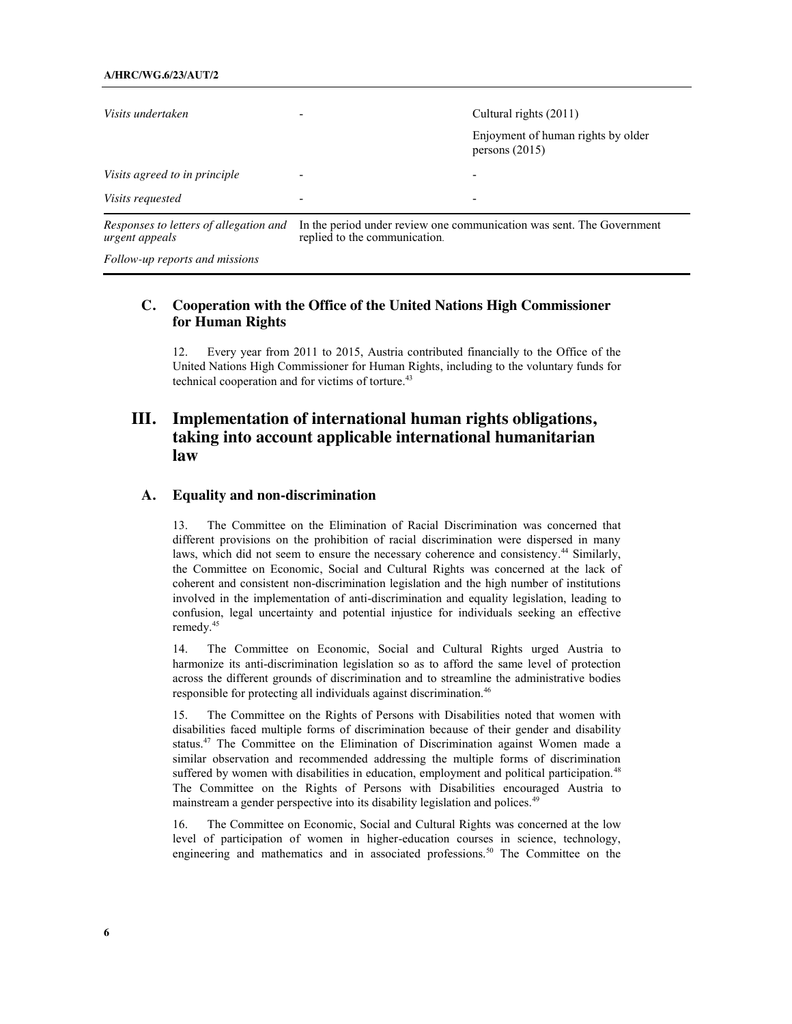| Visits undertaken                                        |                                                                                                        | Cultural rights (2011)<br>Enjoyment of human rights by older<br>persons $(2015)$ |
|----------------------------------------------------------|--------------------------------------------------------------------------------------------------------|----------------------------------------------------------------------------------|
| Visits agreed to in principle                            |                                                                                                        |                                                                                  |
| <i>Visits requested</i>                                  |                                                                                                        |                                                                                  |
| Responses to letters of allegation and<br>urgent appeals | In the period under review one communication was sent. The Government<br>replied to the communication. |                                                                                  |

*Follow-up reports and missions*

## **C. Cooperation with the Office of the United Nations High Commissioner for Human Rights**

12. Every year from 2011 to 2015, Austria contributed financially to the Office of the United Nations High Commissioner for Human Rights, including to the voluntary funds for technical cooperation and for victims of torture. 43

# **III. Implementation of international human rights obligations, taking into account applicable international humanitarian law**

### **A. Equality and non-discrimination**

13. The Committee on the Elimination of Racial Discrimination was concerned that different provisions on the prohibition of racial discrimination were dispersed in many laws, which did not seem to ensure the necessary coherence and consistency.<sup>44</sup> Similarly, the Committee on Economic, Social and Cultural Rights was concerned at the lack of coherent and consistent non-discrimination legislation and the high number of institutions involved in the implementation of anti-discrimination and equality legislation, leading to confusion, legal uncertainty and potential injustice for individuals seeking an effective remedy.<sup>45</sup>

14. The Committee on Economic, Social and Cultural Rights urged Austria to harmonize its anti-discrimination legislation so as to afford the same level of protection across the different grounds of discrimination and to streamline the administrative bodies responsible for protecting all individuals against discrimination.<sup>46</sup>

15. The Committee on the Rights of Persons with Disabilities noted that women with disabilities faced multiple forms of discrimination because of their gender and disability status.<sup>47</sup> The Committee on the Elimination of Discrimination against Women made a similar observation and recommended addressing the multiple forms of discrimination suffered by women with disabilities in education, employment and political participation.<sup>48</sup> The Committee on the Rights of Persons with Disabilities encouraged Austria to mainstream a gender perspective into its disability legislation and polices.49

16. The Committee on Economic, Social and Cultural Rights was concerned at the low level of participation of women in higher-education courses in science, technology, engineering and mathematics and in associated professions.<sup>50</sup> The Committee on the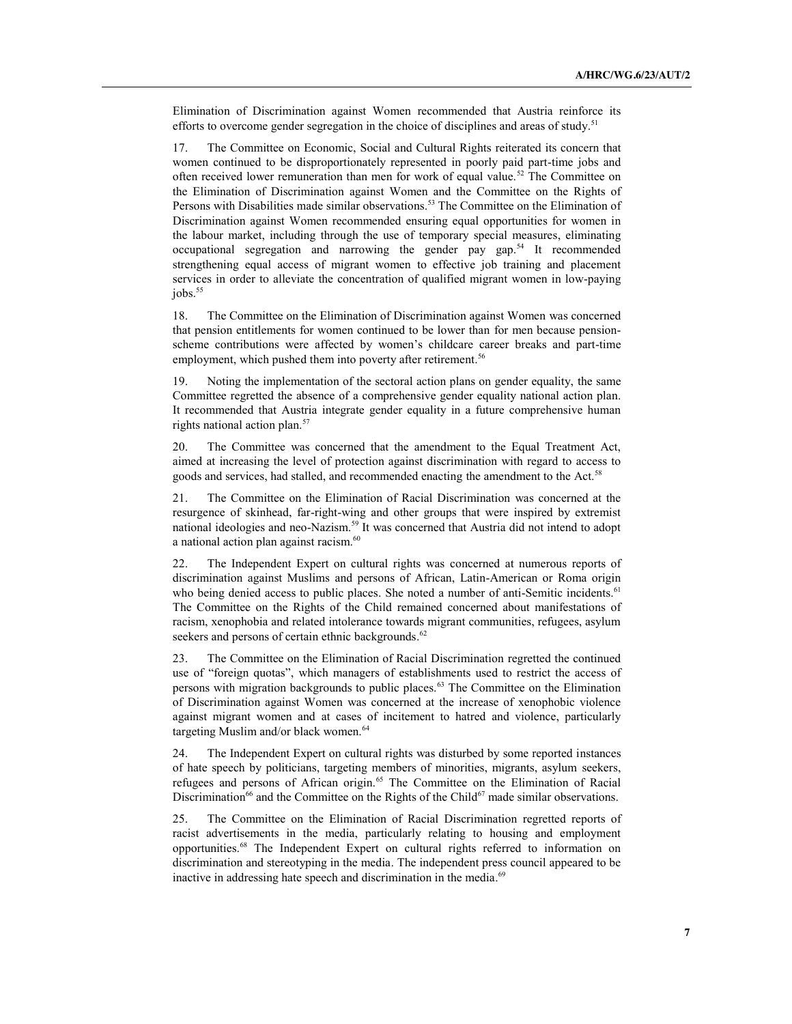Elimination of Discrimination against Women recommended that Austria reinforce its efforts to overcome gender segregation in the choice of disciplines and areas of study.<sup>51</sup>

17. The Committee on Economic, Social and Cultural Rights reiterated its concern that women continued to be disproportionately represented in poorly paid part-time jobs and often received lower remuneration than men for work of equal value.52 The Committee on the Elimination of Discrimination against Women and the Committee on the Rights of Persons with Disabilities made similar observations. <sup>53</sup> The Committee on the Elimination of Discrimination against Women recommended ensuring equal opportunities for women in the labour market, including through the use of temporary special measures, eliminating occupational segregation and narrowing the gender pay gap.54 It recommended strengthening equal access of migrant women to effective job training and placement services in order to alleviate the concentration of qualified migrant women in low-paying jobs.<sup>55</sup>

18. The Committee on the Elimination of Discrimination against Women was concerned that pension entitlements for women continued to be lower than for men because pensionscheme contributions were affected by women's childcare career breaks and part-time employment, which pushed them into poverty after retirement.<sup>56</sup>

19. Noting the implementation of the sectoral action plans on gender equality, the same Committee regretted the absence of a comprehensive gender equality national action plan. It recommended that Austria integrate gender equality in a future comprehensive human rights national action plan.<sup>57</sup>

20. The Committee was concerned that the amendment to the Equal Treatment Act, aimed at increasing the level of protection against discrimination with regard to access to goods and services, had stalled, and recommended enacting the amendment to the Act.<sup>58</sup>

21. The Committee on the Elimination of Racial Discrimination was concerned at the resurgence of skinhead, far-right-wing and other groups that were inspired by extremist national ideologies and neo-Nazism.59 It was concerned that Austria did not intend to adopt a national action plan against racism.<sup>60</sup>

22. The Independent Expert on cultural rights was concerned at numerous reports of discrimination against Muslims and persons of African, Latin-American or Roma origin who being denied access to public places. She noted a number of anti-Semitic incidents.<sup>61</sup> The Committee on the Rights of the Child remained concerned about manifestations of racism, xenophobia and related intolerance towards migrant communities, refugees, asylum seekers and persons of certain ethnic backgrounds.<sup>62</sup>

23. The Committee on the Elimination of Racial Discrimination regretted the continued use of "foreign quotas", which managers of establishments used to restrict the access of persons with migration backgrounds to public places.<sup>63</sup> The Committee on the Elimination of Discrimination against Women was concerned at the increase of xenophobic violence against migrant women and at cases of incitement to hatred and violence, particularly targeting Muslim and/or black women.<sup>64</sup>

24. The Independent Expert on cultural rights was disturbed by some reported instances of hate speech by politicians, targeting members of minorities, migrants, asylum seekers, refugees and persons of African origin.<sup>65</sup> The Committee on the Elimination of Racial Discrimination<sup>66</sup> and the Committee on the Rights of the Child<sup>67</sup> made similar observations.

25. The Committee on the Elimination of Racial Discrimination regretted reports of racist advertisements in the media, particularly relating to housing and employment opportunities.68 The Independent Expert on cultural rights referred to information on discrimination and stereotyping in the media. The independent press council appeared to be inactive in addressing hate speech and discrimination in the media.<sup>69</sup>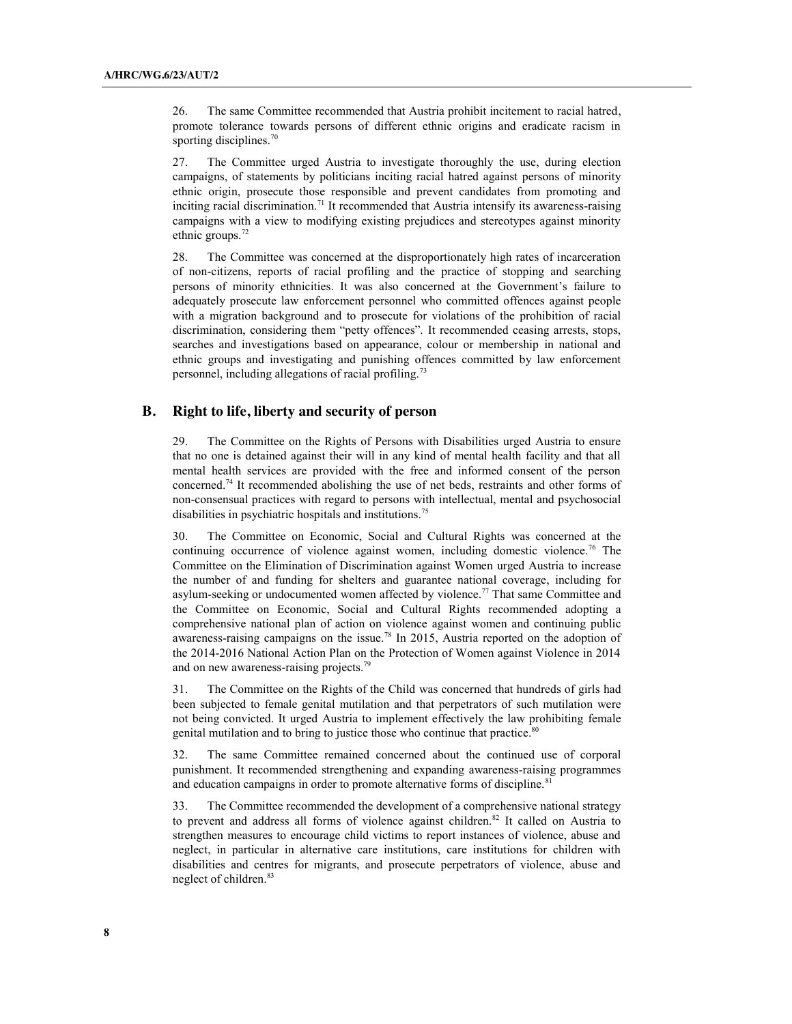26. The same Committee recommended that Austria prohibit incitement to racial hatred, promote tolerance towards persons of different ethnic origins and eradicate racism in sporting disciplines.<sup>70</sup>

27. The Committee urged Austria to investigate thoroughly the use, during election campaigns, of statements by politicians inciting racial hatred against persons of minority ethnic origin, prosecute those responsible and prevent candidates from promoting and inciting racial discrimination.<sup>71</sup> It recommended that Austria intensify its awareness-raising campaigns with a view to modifying existing prejudices and stereotypes against minority ethnic groups.<sup>72</sup>

28. The Committee was concerned at the disproportionately high rates of incarceration of non-citizens, reports of racial profiling and the practice of stopping and searching persons of minority ethnicities. It was also concerned at the Government's failure to adequately prosecute law enforcement personnel who committed offences against people with a migration background and to prosecute for violations of the prohibition of racial discrimination, considering them "petty offences". It recommended ceasing arrests, stops, searches and investigations based on appearance, colour or membership in national and ethnic groups and investigating and punishing offences committed by law enforcement personnel, including allegations of racial profiling.<sup>73</sup>

### **B. Right to life, liberty and security of person**

29. The Committee on the Rights of Persons with Disabilities urged Austria to ensure that no one is detained against their will in any kind of mental health facility and that all mental health services are provided with the free and informed consent of the person concerned.74 It recommended abolishing the use of net beds, restraints and other forms of non-consensual practices with regard to persons with intellectual, mental and psychosocial disabilities in psychiatric hospitals and institutions. 75

30. The Committee on Economic, Social and Cultural Rights was concerned at the continuing occurrence of violence against women, including domestic violence.<sup>76</sup> The Committee on the Elimination of Discrimination against Women urged Austria to increase the number of and funding for shelters and guarantee national coverage, including for asylum-seeking or undocumented women affected by violence.77 That same Committee and the Committee on Economic, Social and Cultural Rights recommended adopting a comprehensive national plan of action on violence against women and continuing public awareness-raising campaigns on the issue.78 In 2015, Austria reported on the adoption of the 2014-2016 National Action Plan on the Protection of Women against Violence in 2014 and on new awareness-raising projects.<sup>79</sup>

31. The Committee on the Rights of the Child was concerned that hundreds of girls had been subjected to female genital mutilation and that perpetrators of such mutilation were not being convicted. It urged Austria to implement effectively the law prohibiting female genital mutilation and to bring to justice those who continue that practice.<sup>80</sup>

32. The same Committee remained concerned about the continued use of corporal punishment. It recommended strengthening and expanding awareness-raising programmes and education campaigns in order to promote alternative forms of discipline.<sup>81</sup>

33. The Committee recommended the development of a comprehensive national strategy to prevent and address all forms of violence against children.<sup>82</sup> It called on Austria to strengthen measures to encourage child victims to report instances of violence, abuse and neglect, in particular in alternative care institutions, care institutions for children with disabilities and centres for migrants, and prosecute perpetrators of violence, abuse and neglect of children.<sup>83</sup>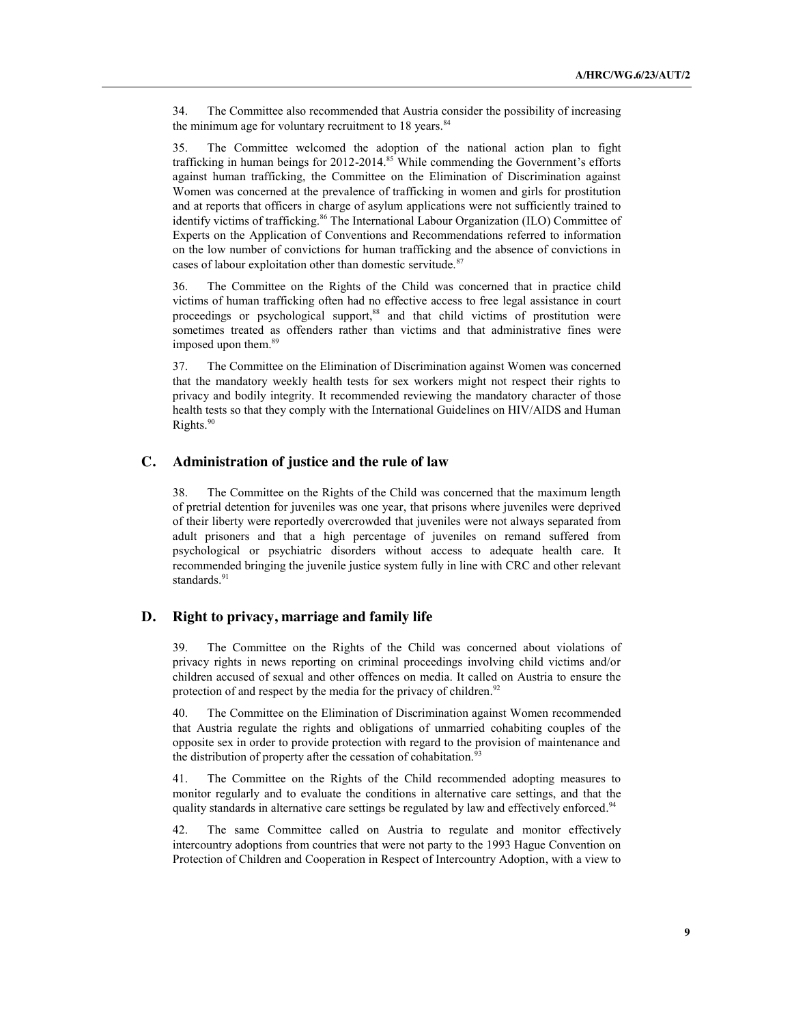34. The Committee also recommended that Austria consider the possibility of increasing the minimum age for voluntary recruitment to  $18$  years.<sup>84</sup>

35. The Committee welcomed the adoption of the national action plan to fight trafficking in human beings for 2012-2014.<sup>85</sup> While commending the Government's efforts against human trafficking, the Committee on the Elimination of Discrimination against Women was concerned at the prevalence of trafficking in women and girls for prostitution and at reports that officers in charge of asylum applications were not sufficiently trained to identify victims of trafficking.<sup>86</sup> The International Labour Organization (ILO) Committee of Experts on the Application of Conventions and Recommendations referred to information on the low number of convictions for human trafficking and the absence of convictions in cases of labour exploitation other than domestic servitude.<sup>87</sup>

36. The Committee on the Rights of the Child was concerned that in practice child victims of human trafficking often had no effective access to free legal assistance in court proceedings or psychological support,<sup>88</sup> and that child victims of prostitution were sometimes treated as offenders rather than victims and that administrative fines were imposed upon them. 89

37. The Committee on the Elimination of Discrimination against Women was concerned that the mandatory weekly health tests for sex workers might not respect their rights to privacy and bodily integrity. It recommended reviewing the mandatory character of those health tests so that they comply with the International Guidelines on HIV/AIDS and Human Rights.<sup>90</sup>

### **C. Administration of justice and the rule of law**

38. The Committee on the Rights of the Child was concerned that the maximum length of pretrial detention for juveniles was one year, that prisons where juveniles were deprived of their liberty were reportedly overcrowded that juveniles were not always separated from adult prisoners and that a high percentage of juveniles on remand suffered from psychological or psychiatric disorders without access to adequate health care. It recommended bringing the juvenile justice system fully in line with CRC and other relevant standards.<sup>91</sup>

### **D. Right to privacy, marriage and family life**

39. The Committee on the Rights of the Child was concerned about violations of privacy rights in news reporting on criminal proceedings involving child victims and/or children accused of sexual and other offences on media. It called on Austria to ensure the protection of and respect by the media for the privacy of children.<sup>92</sup>

40. The Committee on the Elimination of Discrimination against Women recommended that Austria regulate the rights and obligations of unmarried cohabiting couples of the opposite sex in order to provide protection with regard to the provision of maintenance and the distribution of property after the cessation of cohabitation.<sup>93</sup>

41. The Committee on the Rights of the Child recommended adopting measures to monitor regularly and to evaluate the conditions in alternative care settings, and that the quality standards in alternative care settings be regulated by law and effectively enforced.<sup>94</sup>

42. The same Committee called on Austria to regulate and monitor effectively intercountry adoptions from countries that were not party to the 1993 Hague Convention on Protection of Children and Cooperation in Respect of Intercountry Adoption, with a view to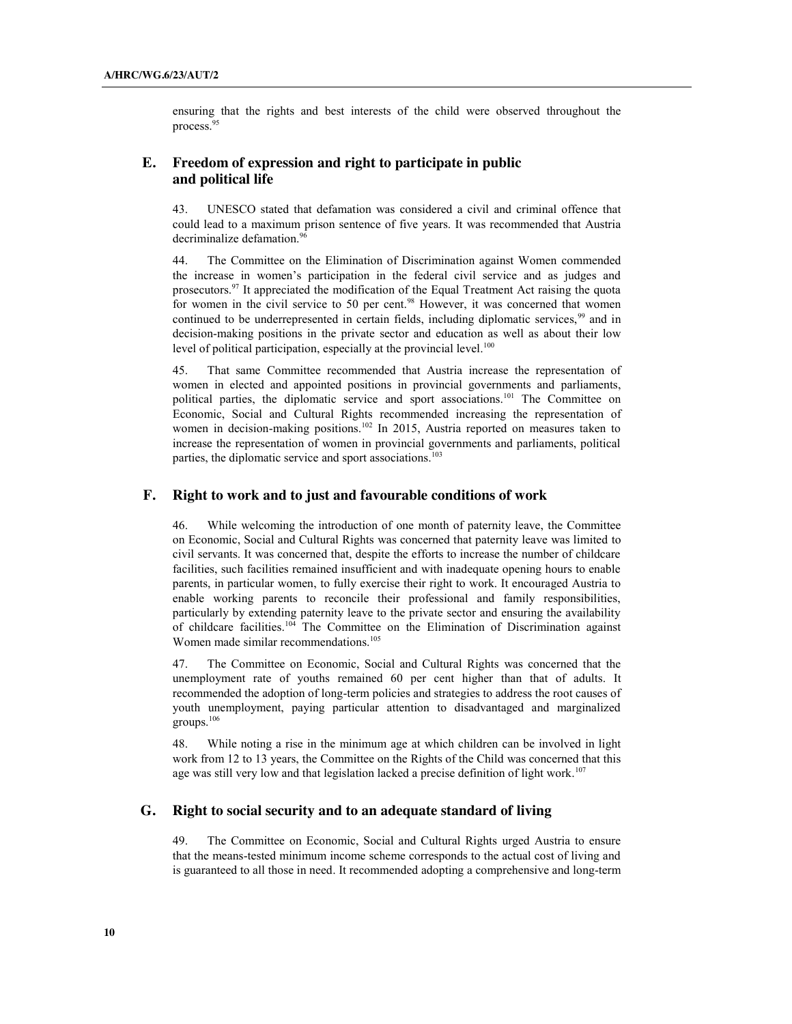ensuring that the rights and best interests of the child were observed throughout the process<sup>95</sup>

## **E. Freedom of expression and right to participate in public and political life**

43. UNESCO stated that defamation was considered a civil and criminal offence that could lead to a maximum prison sentence of five years. It was recommended that Austria decriminalize defamation.<sup>96</sup>

44. The Committee on the Elimination of Discrimination against Women commended the increase in women's participation in the federal civil service and as judges and prosecutors.97 It appreciated the modification of the Equal Treatment Act raising the quota for women in the civil service to 50 per cent.<sup>98</sup> However, it was concerned that women continued to be underrepresented in certain fields, including diplomatic services,<sup>99</sup> and in decision-making positions in the private sector and education as well as about their low level of political participation, especially at the provincial level.<sup>100</sup>

45. That same Committee recommended that Austria increase the representation of women in elected and appointed positions in provincial governments and parliaments, political parties, the diplomatic service and sport associations. <sup>101</sup> The Committee on Economic, Social and Cultural Rights recommended increasing the representation of women in decision-making positions.<sup>102</sup> In 2015, Austria reported on measures taken to increase the representation of women in provincial governments and parliaments, political parties, the diplomatic service and sport associations. 103

#### **F. Right to work and to just and favourable conditions of work**

46. While welcoming the introduction of one month of paternity leave, the Committee on Economic, Social and Cultural Rights was concerned that paternity leave was limited to civil servants. It was concerned that, despite the efforts to increase the number of childcare facilities, such facilities remained insufficient and with inadequate opening hours to enable parents, in particular women, to fully exercise their right to work. It encouraged Austria to enable working parents to reconcile their professional and family responsibilities, particularly by extending paternity leave to the private sector and ensuring the availability of childcare facilities.104 The Committee on the Elimination of Discrimination against Women made similar recommendations. 105

47. The Committee on Economic, Social and Cultural Rights was concerned that the unemployment rate of youths remained 60 per cent higher than that of adults. It recommended the adoption of long-term policies and strategies to address the root causes of youth unemployment, paying particular attention to disadvantaged and marginalized groups.106

48. While noting a rise in the minimum age at which children can be involved in light work from 12 to 13 years, the Committee on the Rights of the Child was concerned that this age was still very low and that legislation lacked a precise definition of light work.<sup>107</sup>

### **G. Right to social security and to an adequate standard of living**

49. The Committee on Economic, Social and Cultural Rights urged Austria to ensure that the means-tested minimum income scheme corresponds to the actual cost of living and is guaranteed to all those in need. It recommended adopting a comprehensive and long-term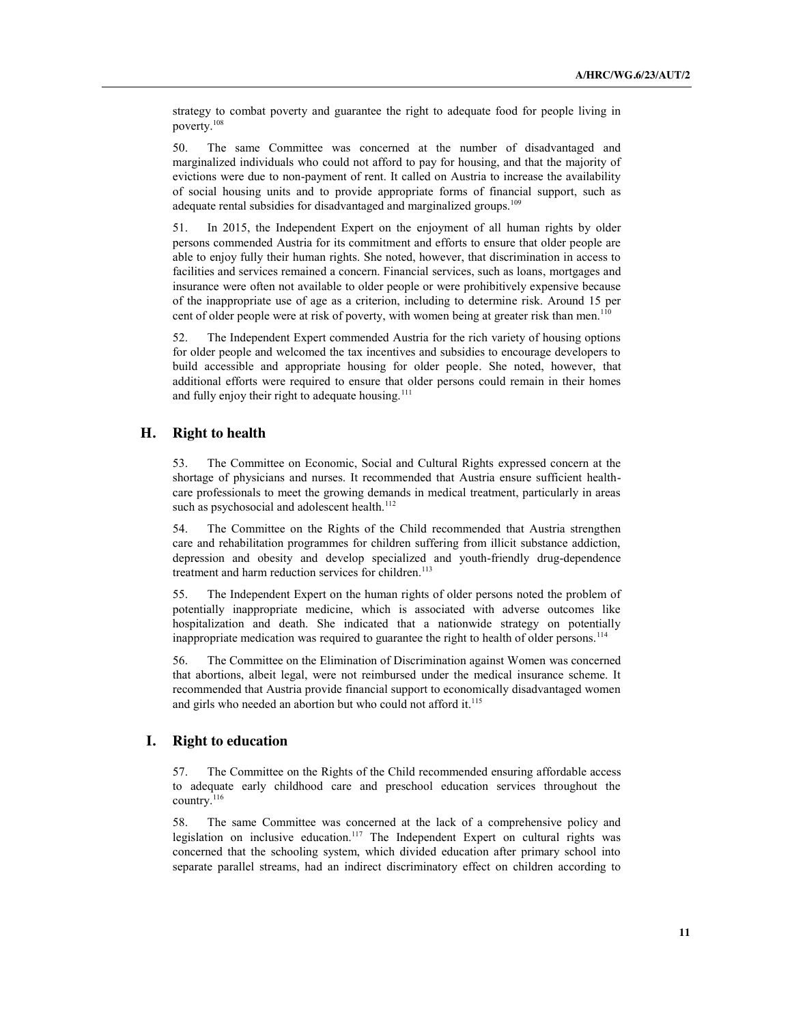strategy to combat poverty and guarantee the right to adequate food for people living in poverty. 108

50. The same Committee was concerned at the number of disadvantaged and marginalized individuals who could not afford to pay for housing, and that the majority of evictions were due to non-payment of rent. It called on Austria to increase the availability of social housing units and to provide appropriate forms of financial support, such as adequate rental subsidies for disadvantaged and marginalized groups.<sup>109</sup>

51. In 2015, the Independent Expert on the enjoyment of all human rights by older persons commended Austria for its commitment and efforts to ensure that older people are able to enjoy fully their human rights. She noted, however, that discrimination in access to facilities and services remained a concern. Financial services, such as loans, mortgages and insurance were often not available to older people or were prohibitively expensive because of the inappropriate use of age as a criterion, including to determine risk. Around 15 per cent of older people were at risk of poverty, with women being at greater risk than men.<sup>110</sup>

52. The Independent Expert commended Austria for the rich variety of housing options for older people and welcomed the tax incentives and subsidies to encourage developers to build accessible and appropriate housing for older people. She noted, however, that additional efforts were required to ensure that older persons could remain in their homes and fully enjoy their right to adequate housing.<sup>111</sup>

### **H. Right to health**

53. The Committee on Economic, Social and Cultural Rights expressed concern at the shortage of physicians and nurses. It recommended that Austria ensure sufficient healthcare professionals to meet the growing demands in medical treatment, particularly in areas such as psychosocial and adolescent health.<sup>112</sup>

54. The Committee on the Rights of the Child recommended that Austria strengthen care and rehabilitation programmes for children suffering from illicit substance addiction, depression and obesity and develop specialized and youth-friendly drug-dependence treatment and harm reduction services for children.<sup>113</sup>

55. The Independent Expert on the human rights of older persons noted the problem of potentially inappropriate medicine, which is associated with adverse outcomes like hospitalization and death. She indicated that a nationwide strategy on potentially inappropriate medication was required to guarantee the right to health of older persons.114

56. The Committee on the Elimination of Discrimination against Women was concerned that abortions, albeit legal, were not reimbursed under the medical insurance scheme. It recommended that Austria provide financial support to economically disadvantaged women and girls who needed an abortion but who could not afford it. 115

#### **I. Right to education**

57. The Committee on the Rights of the Child recommended ensuring affordable access to adequate early childhood care and preschool education services throughout the country.<sup>116</sup>

58. The same Committee was concerned at the lack of a comprehensive policy and legislation on inclusive education.<sup>117</sup> The Independent Expert on cultural rights was concerned that the schooling system, which divided education after primary school into separate parallel streams, had an indirect discriminatory effect on children according to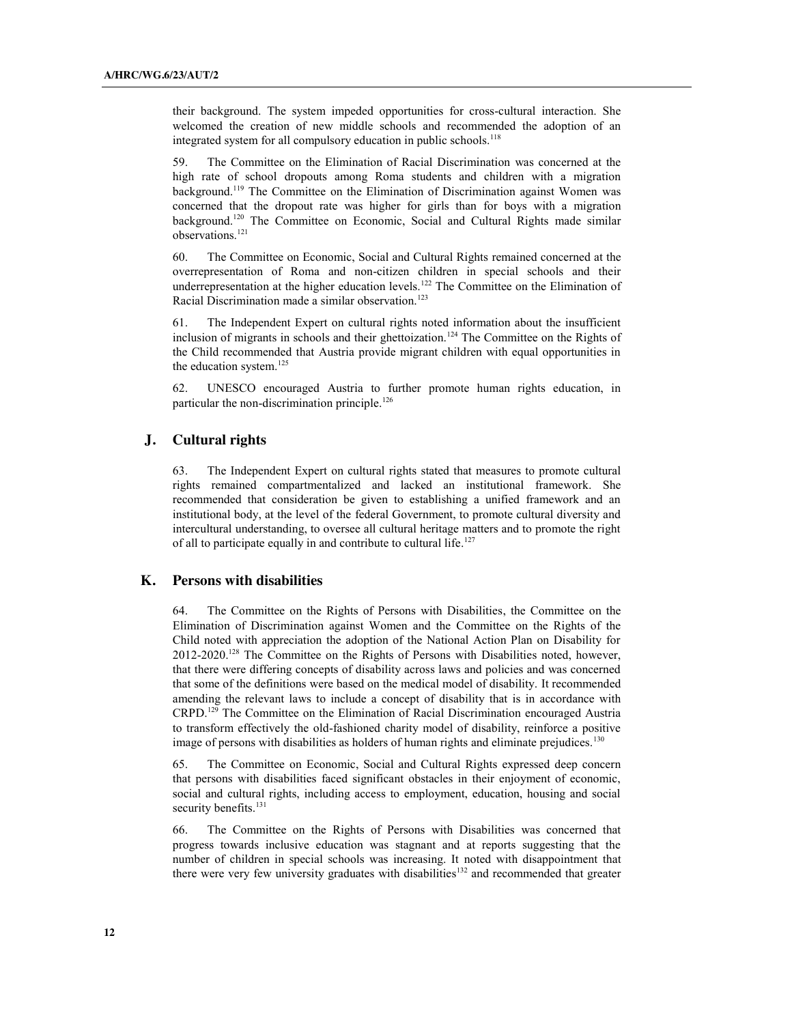their background. The system impeded opportunities for cross-cultural interaction. She welcomed the creation of new middle schools and recommended the adoption of an integrated system for all compulsory education in public schools.<sup>118</sup>

59. The Committee on the Elimination of Racial Discrimination was concerned at the high rate of school dropouts among Roma students and children with a migration background.<sup>119</sup> The Committee on the Elimination of Discrimination against Women was concerned that the dropout rate was higher for girls than for boys with a migration background.<sup>120</sup> The Committee on Economic, Social and Cultural Rights made similar observations.121

60. The Committee on Economic, Social and Cultural Rights remained concerned at the overrepresentation of Roma and non-citizen children in special schools and their underrepresentation at the higher education levels.<sup>122</sup> The Committee on the Elimination of Racial Discrimination made a similar observation.<sup>123</sup>

61. The Independent Expert on cultural rights noted information about the insufficient inclusion of migrants in schools and their ghettoization.<sup>124</sup> The Committee on the Rights of the Child recommended that Austria provide migrant children with equal opportunities in the education system.<sup>125</sup>

62. UNESCO encouraged Austria to further promote human rights education, in particular the non-discrimination principle.<sup>126</sup>

#### **J. Cultural rights**

63. The Independent Expert on cultural rights stated that measures to promote cultural rights remained compartmentalized and lacked an institutional framework. She recommended that consideration be given to establishing a unified framework and an institutional body, at the level of the federal Government, to promote cultural diversity and intercultural understanding, to oversee all cultural heritage matters and to promote the right of all to participate equally in and contribute to cultural life.<sup>127</sup>

#### **K. Persons with disabilities**

64. The Committee on the Rights of Persons with Disabilities, the Committee on the Elimination of Discrimination against Women and the Committee on the Rights of the Child noted with appreciation the adoption of the National Action Plan on Disability for 2012-2020.128 The Committee on the Rights of Persons with Disabilities noted, however, that there were differing concepts of disability across laws and policies and was concerned that some of the definitions were based on the medical model of disability. It recommended amending the relevant laws to include a concept of disability that is in accordance with CRPD. <sup>129</sup> The Committee on the Elimination of Racial Discrimination encouraged Austria to transform effectively the old-fashioned charity model of disability, reinforce a positive image of persons with disabilities as holders of human rights and eliminate prejudices.<sup>130</sup>

65. The Committee on Economic, Social and Cultural Rights expressed deep concern that persons with disabilities faced significant obstacles in their enjoyment of economic, social and cultural rights, including access to employment, education, housing and social security benefits.<sup>131</sup>

66. The Committee on the Rights of Persons with Disabilities was concerned that progress towards inclusive education was stagnant and at reports suggesting that the number of children in special schools was increasing. It noted with disappointment that there were very few university graduates with disabilities<sup>132</sup> and recommended that greater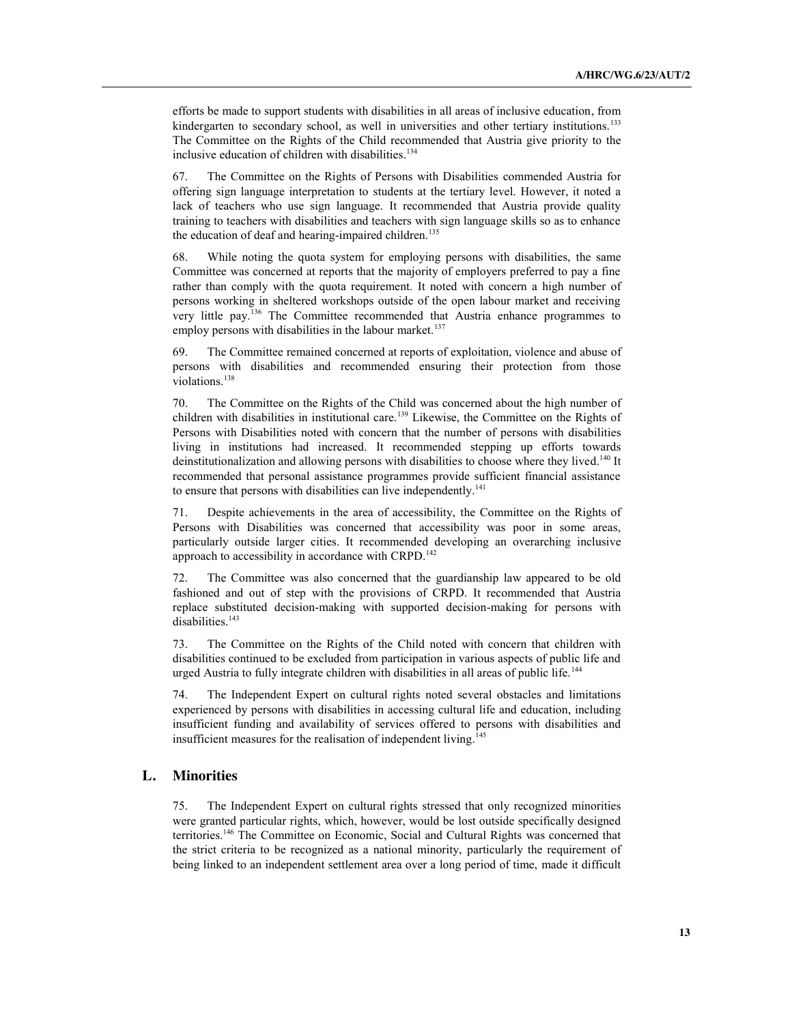efforts be made to support students with disabilities in all areas of inclusive education, from kindergarten to secondary school, as well in universities and other tertiary institutions.<sup>133</sup> The Committee on the Rights of the Child recommended that Austria give priority to the inclusive education of children with disabilities. 134

67. The Committee on the Rights of Persons with Disabilities commended Austria for offering sign language interpretation to students at the tertiary level. However, it noted a lack of teachers who use sign language. It recommended that Austria provide quality training to teachers with disabilities and teachers with sign language skills so as to enhance the education of deaf and hearing-impaired children. 135

68. While noting the quota system for employing persons with disabilities, the same Committee was concerned at reports that the majority of employers preferred to pay a fine rather than comply with the quota requirement. It noted with concern a high number of persons working in sheltered workshops outside of the open labour market and receiving very little pay.136 The Committee recommended that Austria enhance programmes to employ persons with disabilities in the labour market.<sup>137</sup>

The Committee remained concerned at reports of exploitation, violence and abuse of persons with disabilities and recommended ensuring their protection from those violations. 138

70. The Committee on the Rights of the Child was concerned about the high number of children with disabilities in institutional care.<sup>139</sup> Likewise, the Committee on the Rights of Persons with Disabilities noted with concern that the number of persons with disabilities living in institutions had increased. It recommended stepping up efforts towards deinstitutionalization and allowing persons with disabilities to choose where they lived. <sup>140</sup> It recommended that personal assistance programmes provide sufficient financial assistance to ensure that persons with disabilities can live independently.<sup>141</sup>

71. Despite achievements in the area of accessibility, the Committee on the Rights of Persons with Disabilities was concerned that accessibility was poor in some areas, particularly outside larger cities. It recommended developing an overarching inclusive approach to accessibility in accordance with CRPD.<sup>142</sup>

72. The Committee was also concerned that the guardianship law appeared to be old fashioned and out of step with the provisions of CRPD. It recommended that Austria replace substituted decision-making with supported decision-making for persons with disabilities.<sup>143</sup>

73. The Committee on the Rights of the Child noted with concern that children with disabilities continued to be excluded from participation in various aspects of public life and urged Austria to fully integrate children with disabilities in all areas of public life.<sup>144</sup>

74. The Independent Expert on cultural rights noted several obstacles and limitations experienced by persons with disabilities in accessing cultural life and education, including insufficient funding and availability of services offered to persons with disabilities and insufficient measures for the realisation of independent living. 145

## **L. Minorities**

75. The Independent Expert on cultural rights stressed that only recognized minorities were granted particular rights, which, however, would be lost outside specifically designed territories.146 The Committee on Economic, Social and Cultural Rights was concerned that the strict criteria to be recognized as a national minority, particularly the requirement of being linked to an independent settlement area over a long period of time, made it difficult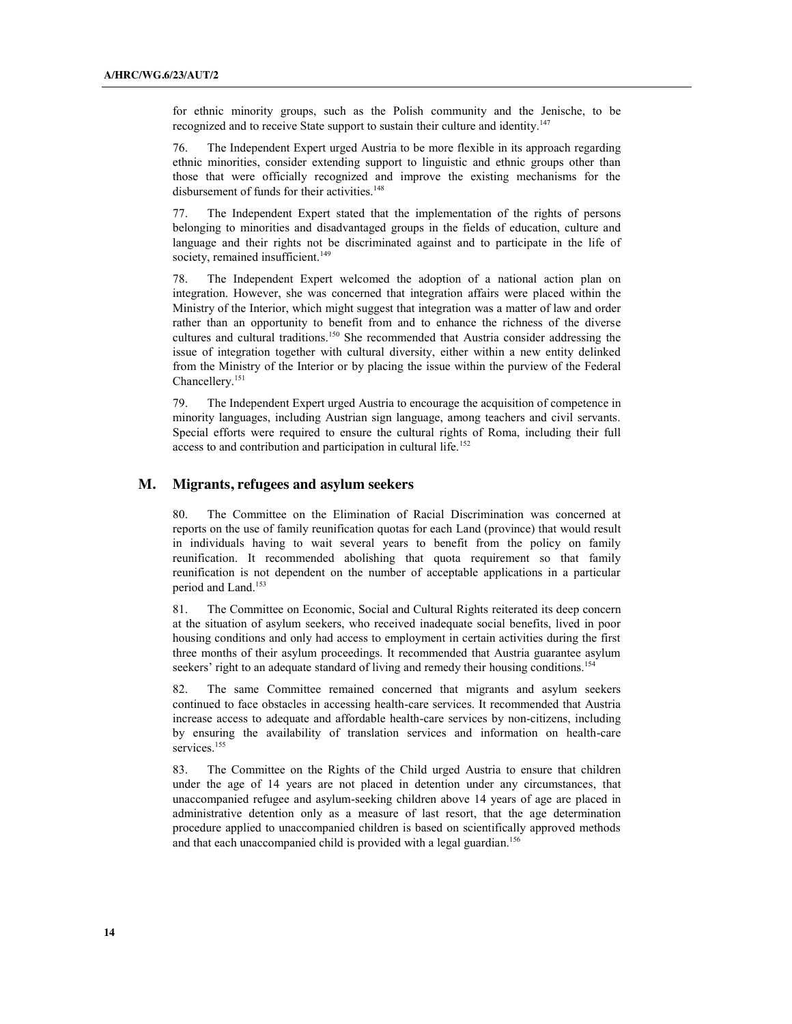for ethnic minority groups, such as the Polish community and the Jenische, to be recognized and to receive State support to sustain their culture and identity.<sup>147</sup>

76. The Independent Expert urged Austria to be more flexible in its approach regarding ethnic minorities, consider extending support to linguistic and ethnic groups other than those that were officially recognized and improve the existing mechanisms for the disbursement of funds for their activities. 148

77. The Independent Expert stated that the implementation of the rights of persons belonging to minorities and disadvantaged groups in the fields of education, culture and language and their rights not be discriminated against and to participate in the life of society, remained insufficient.<sup>149</sup>

78. The Independent Expert welcomed the adoption of a national action plan on integration. However, she was concerned that integration affairs were placed within the Ministry of the Interior, which might suggest that integration was a matter of law and order rather than an opportunity to benefit from and to enhance the richness of the diverse cultures and cultural traditions.150 She recommended that Austria consider addressing the issue of integration together with cultural diversity, either within a new entity delinked from the Ministry of the Interior or by placing the issue within the purview of the Federal Chancellery.151

79. The Independent Expert urged Austria to encourage the acquisition of competence in minority languages, including Austrian sign language, among teachers and civil servants. Special efforts were required to ensure the cultural rights of Roma, including their full access to and contribution and participation in cultural life.<sup>152</sup>

#### **M. Migrants, refugees and asylum seekers**

80. The Committee on the Elimination of Racial Discrimination was concerned at reports on the use of family reunification quotas for each Land (province) that would result in individuals having to wait several years to benefit from the policy on family reunification. It recommended abolishing that quota requirement so that family reunification is not dependent on the number of acceptable applications in a particular period and Land.153

81. The Committee on Economic, Social and Cultural Rights reiterated its deep concern at the situation of asylum seekers, who received inadequate social benefits, lived in poor housing conditions and only had access to employment in certain activities during the first three months of their asylum proceedings. It recommended that Austria guarantee asylum seekers' right to an adequate standard of living and remedy their housing conditions.<sup>154</sup>

82. The same Committee remained concerned that migrants and asylum seekers continued to face obstacles in accessing health-care services. It recommended that Austria increase access to adequate and affordable health-care services by non-citizens, including by ensuring the availability of translation services and information on health-care services.<sup>155</sup>

83. The Committee on the Rights of the Child urged Austria to ensure that children under the age of 14 years are not placed in detention under any circumstances, that unaccompanied refugee and asylum-seeking children above 14 years of age are placed in administrative detention only as a measure of last resort, that the age determination procedure applied to unaccompanied children is based on scientifically approved methods and that each unaccompanied child is provided with a legal guardian.<sup>156</sup>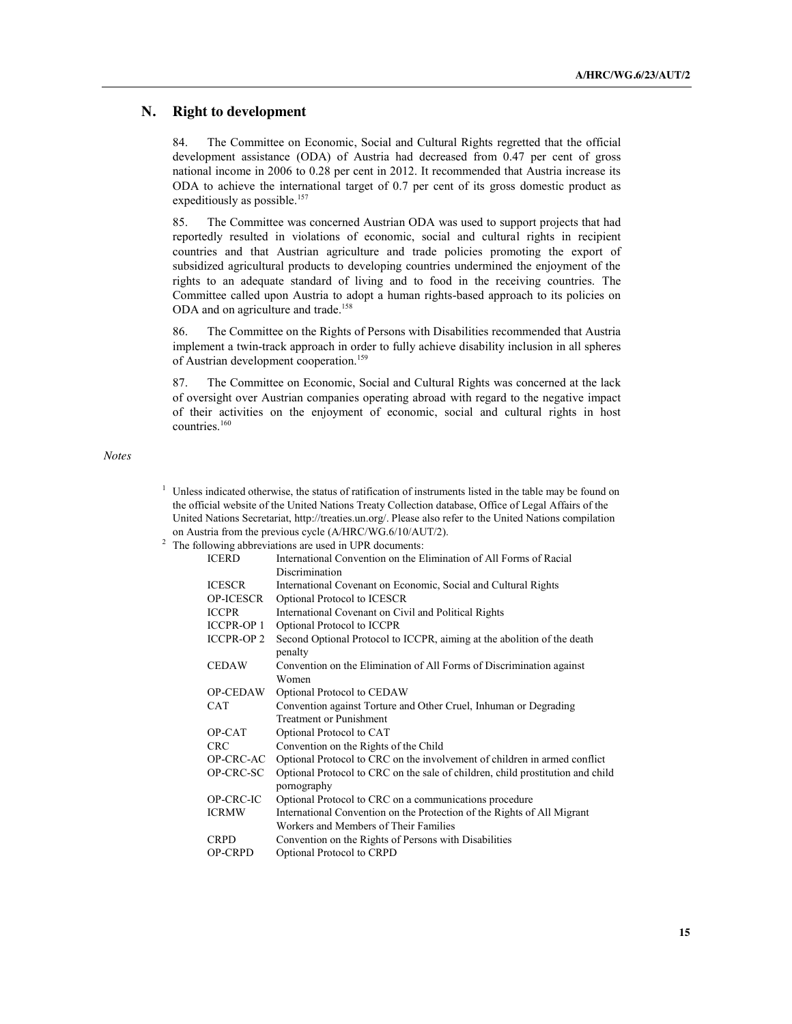#### **N. Right to development**

84. The Committee on Economic, Social and Cultural Rights regretted that the official development assistance (ODA) of Austria had decreased from 0.47 per cent of gross national income in 2006 to 0.28 per cent in 2012. It recommended that Austria increase its ODA to achieve the international target of 0.7 per cent of its gross domestic product as expeditiously as possible.<sup>157</sup>

85. The Committee was concerned Austrian ODA was used to support projects that had reportedly resulted in violations of economic, social and cultural rights in recipient countries and that Austrian agriculture and trade policies promoting the export of subsidized agricultural products to developing countries undermined the enjoyment of the rights to an adequate standard of living and to food in the receiving countries. The Committee called upon Austria to adopt a human rights-based approach to its policies on ODA and on agriculture and trade.<sup>158</sup>

86. The Committee on the Rights of Persons with Disabilities recommended that Austria implement a twin-track approach in order to fully achieve disability inclusion in all spheres of Austrian development cooperation.<sup>159</sup>

87. The Committee on Economic, Social and Cultural Rights was concerned at the lack of oversight over Austrian companies operating abroad with regard to the negative impact of their activities on the enjoyment of economic, social and cultural rights in host countries. 160

*Notes*

- $1$  Unless indicated otherwise, the status of ratification of instruments listed in the table may be found on the official website of the United Nations Treaty Collection database, Office of Legal Affairs of the United Nations Secretariat, http://treaties.un.org/. Please also refer to the United Nations compilation on Austria from the previous cycle (A/HRC/WG.6/10/AUT/2).
- <sup>2</sup> The following abbreviations are used in UPR documents:

|                   | nowing aboreviations are used in OTK documents.                                |
|-------------------|--------------------------------------------------------------------------------|
| <b>ICERD</b>      | International Convention on the Elimination of All Forms of Racial             |
|                   | Discrimination                                                                 |
| <b>ICESCR</b>     | International Covenant on Economic, Social and Cultural Rights                 |
| <b>OP-ICESCR</b>  | Optional Protocol to ICESCR                                                    |
| <b>ICCPR</b>      | International Covenant on Civil and Political Rights                           |
| <b>ICCPR-OP 1</b> | Optional Protocol to ICCPR                                                     |
| <b>ICCPR-OP 2</b> | Second Optional Protocol to ICCPR, aiming at the abolition of the death        |
|                   | penalty                                                                        |
| <b>CEDAW</b>      | Convention on the Elimination of All Forms of Discrimination against           |
|                   | Women                                                                          |
| <b>OP-CEDAW</b>   | Optional Protocol to CEDAW                                                     |
| <b>CAT</b>        | Convention against Torture and Other Cruel, Inhuman or Degrading               |
|                   | <b>Treatment or Punishment</b>                                                 |
| OP-CAT            | Optional Protocol to CAT                                                       |
| <b>CRC</b>        | Convention on the Rights of the Child                                          |
| OP-CRC-AC         | Optional Protocol to CRC on the involvement of children in armed conflict      |
| OP-CRC-SC         | Optional Protocol to CRC on the sale of children, child prostitution and child |
|                   | pornography                                                                    |
| OP-CRC-IC         | Optional Protocol to CRC on a communications procedure                         |
| <b>ICRMW</b>      | International Convention on the Protection of the Rights of All Migrant        |
|                   | Workers and Members of Their Families                                          |
| <b>CRPD</b>       | Convention on the Rights of Persons with Disabilities                          |
| <b>OP-CRPD</b>    | Optional Protocol to CRPD                                                      |
|                   |                                                                                |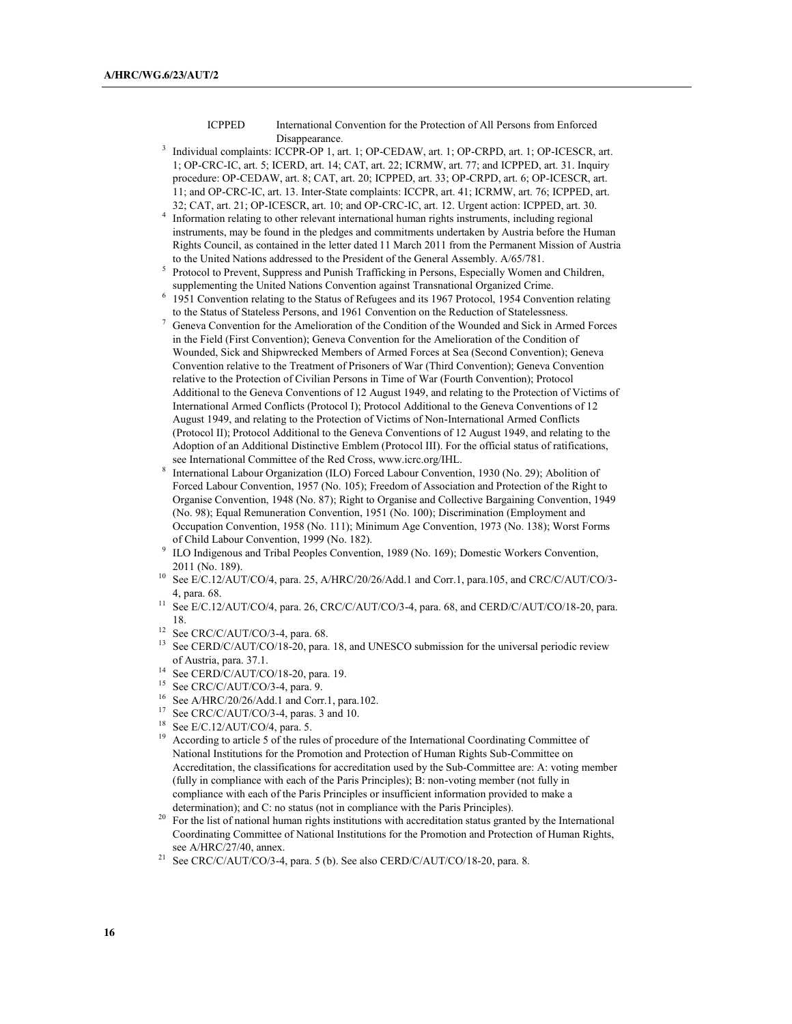ICPPED International Convention for the Protection of All Persons from Enforced Disappearance.

- <sup>3</sup> Individual complaints: ICCPR-OP 1, art. 1; OP-CEDAW, art. 1; OP-CRPD, art. 1; OP-ICESCR, art. 1; OP-CRC-IC, art. 5; ICERD, art. 14; CAT, art. 22; ICRMW, art. 77; and ICPPED, art. 31. Inquiry procedure: OP-CEDAW, art. 8; CAT, art. 20; ICPPED, art. 33; OP-CRPD, art. 6; OP-ICESCR, art. 11; and OP-CRC-IC, art. 13. Inter-State complaints: ICCPR, art. 41; ICRMW, art. 76; ICPPED, art. 32; CAT, art. 21; OP-ICESCR, art. 10; and OP-CRC-IC, art. 12. Urgent action: ICPPED, art. 30.
- <sup>4</sup> Information relating to other relevant international human rights instruments, including regional instruments, may be found in the pledges and commitments undertaken by Austria before the Human Rights Council, as contained in the letter dated 11 March 2011 from the Permanent Mission of Austria to the United Nations addressed to the President of the General Assembly. A/65/781.
- <sup>5</sup> Protocol to Prevent, Suppress and Punish Trafficking in Persons, Especially Women and Children, supplementing the United Nations Convention against Transnational Organized Crime.
- <sup>6</sup> 1951 Convention relating to the Status of Refugees and its 1967 Protocol, 1954 Convention relating to the Status of Stateless Persons, and 1961 Convention on the Reduction of Statelessness.
- <sup>7</sup> Geneva Convention for the Amelioration of the Condition of the Wounded and Sick in Armed Forces in the Field (First Convention); Geneva Convention for the Amelioration of the Condition of Wounded, Sick and Shipwrecked Members of Armed Forces at Sea (Second Convention); Geneva Convention relative to the Treatment of Prisoners of War (Third Convention); Geneva Convention relative to the Protection of Civilian Persons in Time of War (Fourth Convention); Protocol Additional to the Geneva Conventions of 12 August 1949, and relating to the Protection of Victims of International Armed Conflicts (Protocol I); Protocol Additional to the Geneva Conventions of 12 August 1949, and relating to the Protection of Victims of Non-International Armed Conflicts (Protocol II); Protocol Additional to the Geneva Conventions of 12 August 1949, and relating to the Adoption of an Additional Distinctive Emblem (Protocol III). For the official status of ratifications, see International Committee of the Red Cross, www.icrc.org/IHL.
- <sup>8</sup> International Labour Organization (ILO) Forced Labour Convention, 1930 (No. 29); Abolition of Forced Labour Convention, 1957 (No. 105); Freedom of Association and Protection of the Right to Organise Convention, 1948 (No. 87); Right to Organise and Collective Bargaining Convention, 1949 (No. 98); Equal Remuneration Convention, 1951 (No. 100); Discrimination (Employment and Occupation Convention, 1958 (No. 111); Minimum Age Convention, 1973 (No. 138); Worst Forms of Child Labour Convention, 1999 (No. 182).
- <sup>9</sup> ILO Indigenous and Tribal Peoples Convention, 1989 (No. 169); Domestic Workers Convention,
- 2011 (No. 189). 2011 (No. 189). 10 See E/C.12/AUT/CO/4, para. 25, A/HRC/20/26/Add.1 and Corr.1, para.105, and CRC/C/AUT/CO/3-4, para. 68.
- <sup>11</sup> See E/C.12/AUT/CO/4, para. 26, CRC/C/AUT/CO/3-4, para. 68, and CERD/C/AUT/CO/18-20, para. 18.
- <sup>12</sup> See CRC/C/AUT/CO/3-4, para. 68.
- <sup>13</sup> See CERD/C/AUT/CO/18-20, para. 18, and UNESCO submission for the universal periodic review of Austria, para. 37.1.
- <sup>14</sup> See CERD/C/AUT/CO/18-20, para. 19.
- <sup>15</sup> See CRC/C/AUT/CO/3-4, para. 9.
- <sup>16</sup> See A/HRC/20/26/Add.1 and Corr.1, para.102.
- <sup>17</sup> See CRC/C/AUT/CO/3-4, paras. 3 and 10.
- <sup>18</sup> See E/C.12/AUT/CO/4, para. 5.
- <sup>19</sup> According to article 5 of the rules of procedure of the International Coordinating Committee of National Institutions for the Promotion and Protection of Human Rights Sub-Committee on Accreditation, the classifications for accreditation used by the Sub-Committee are: A: voting member (fully in compliance with each of the Paris Principles); B: non-voting member (not fully in compliance with each of the Paris Principles or insufficient information provided to make a determination); and C: no status (not in compliance with the Paris Principles).
- <sup>20</sup> For the list of national human rights institutions with accreditation status granted by the International Coordinating Committee of National Institutions for the Promotion and Protection of Human Rights, see A/HRC/27/40, annex.
- <sup>21</sup> See CRC/C/AUT/CO/3-4, para. 5 (b). See also CERD/C/AUT/CO/18-20, para. 8.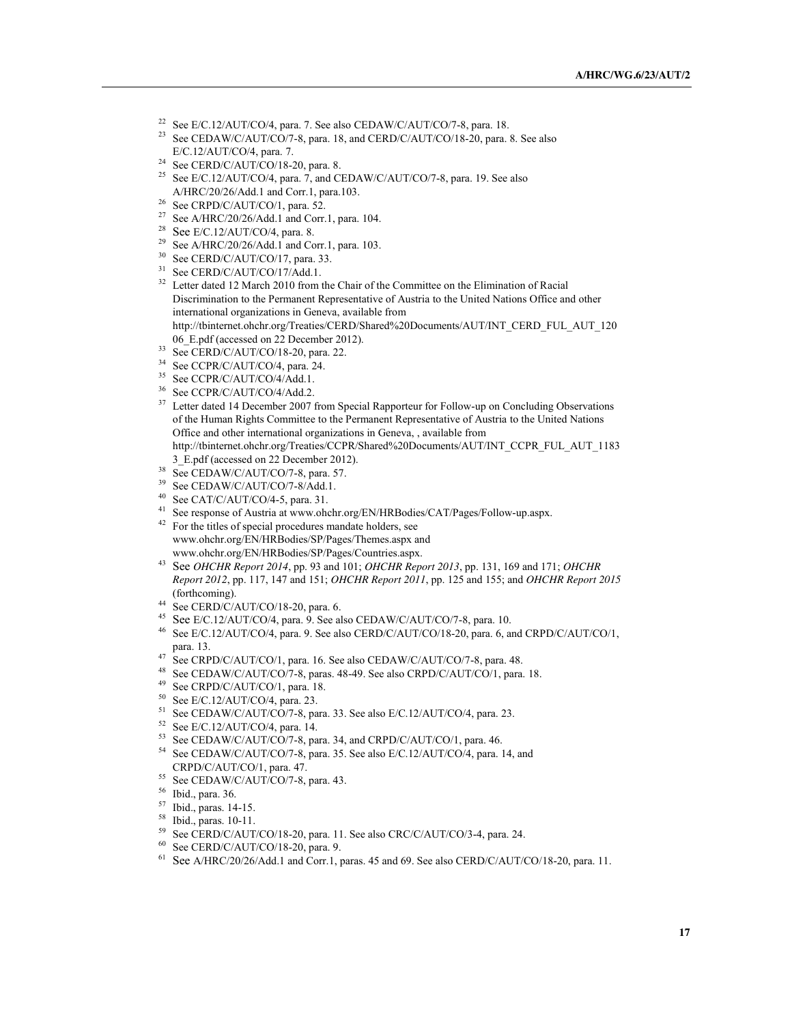- <sup>22</sup> See E/C.12/AUT/CO/4, para. 7. See also CEDAW/C/AUT/CO/7-8, para. 18.
- <sup>23</sup> See CEDAW/C/AUT/CO/7-8, para. 18, and CERD/C/AUT/CO/18-20, para. 8. See also E/C.12/AUT/CO/4, para. 7.
- $24$  See CERD/C/AUT/CO/18-20, para. 8.
- <sup>25</sup> See E/C.12/AUT/CO/4, para. 7, and CEDAW/C/AUT/CO/7-8, para. 19. See also A/HRC/20/26/Add.1 and Corr.1, para.103.
- <sup>26</sup> See CRPD/C/AUT/CO/1, para. 52.
- <sup>27</sup> See A/HRC/20/26/Add.1 and Corr.1, para. 104.
- <sup>28</sup> See E/C.12/AUT/CO/4, para. 8.
- <sup>29</sup> See A/HRC/20/26/Add.1 and Corr.1, para. 103.
- <sup>30</sup> See CERD/C/AUT/CO/17, para. 33.
- <sup>31</sup> See CERD/C/AUT/CO/17/Add.1.
- <sup>32</sup> Letter dated 12 March 2010 from the Chair of the Committee on the Elimination of Racial Discrimination to the Permanent Representative of Austria to the United Nations Office and other international organizations in Geneva, available from http://tbinternet.ohchr.org/Treaties/CERD/Shared%20Documents/AUT/INT\_CERD\_FUL\_AUT\_120 06\_E.pdf (accessed on 22 December 2012).
- <sup>33</sup> See CERD/C/AUT/CO/18-20, para. 22.
- <sup>34</sup> See CCPR/C/AUT/CO/4, para. 24.
- <sup>35</sup> See CCPR/C/AUT/CO/4/Add.1.
- 
- <sup>36</sup> See CCPR/C/AUT/CO/4/Add.2.
- <sup>37</sup> Letter dated 14 December 2007 from Special Rapporteur for Follow-up on Concluding Observations of the Human Rights Committee to the Permanent Representative of Austria to the United Nations Office and other international organizations in Geneva, , available from http://tbinternet.ohchr.org/Treaties/CCPR/Shared%20Documents/AUT/INT\_CCPR\_FUL\_AUT\_1183
- 3\_E.pdf (accessed on 22 December 2012).
- $38$  See CEDAW/C/AUT/CO/7-8, para. 57.
- <sup>39</sup> See CEDAW/C/AUT/CO/7-8/Add.1.
- <sup>40</sup> See CAT/C/AUT/CO/4-5, para. 31.
- See response of Austria at www.ohchr.org/EN/HRBodies/CAT/Pages/Follow-up.aspx.
- <sup>42</sup> For the titles of special procedures mandate holders, see www.ohchr.org/EN/HRBodies/SP/Pages/Themes.aspx and www.ohchr.org/EN/HRBodies/SP/Pages/Countries.aspx.
- <sup>43</sup> See *OHCHR Report 2014*, pp. 93 and 101; *OHCHR Report 2013*, pp. 131, 169 and 171; *OHCHR Report 2012*, pp. 117, 147 and 151; *OHCHR Report 2011*, pp. 125 and 155; and *OHCHR Report 2015* (forthcoming).
- $^{44}$  See CERD/C/AUT/CO/18-20, para. 6.
- <sup>45</sup> See E/C.12/AUT/CO/4, para. 9. See also CEDAW/C/AUT/CO/7-8, para. 10.
- <sup>46</sup> See E/C.12/AUT/CO/4, para. 9. See also CERD/C/AUT/CO/18-20, para. 6, and CRPD/C/AUT/CO/1, para. 13.
- <sup>47</sup> See CRPD/C/AUT/CO/1, para. 16. See also CEDAW/C/AUT/CO/7-8, para. 48.
- <sup>48</sup> See CEDAW/C/AUT/CO/7-8, paras. 48-49. See also CRPD/C/AUT/CO/1, para. 18.
- <sup>49</sup> See CRPD/C/AUT/CO/1, para. 18.
- <sup>50</sup> See E/C.12/AUT/CO/4, para. 23.
- <sup>51</sup> See CEDAW/C/AUT/CO/7-8, para. 33. See also E/C.12/AUT/CO/4, para. 23. See E/C.12/AUT/CO/4, para. 14.
- 
- $53$  See CEDAW/C/AUT/CO/7-8, para. 34, and CRPD/C/AUT/CO/1, para. 46.
- <sup>54</sup> See CEDAW/C/AUT/CO/7-8, para. 35. See also E/C.12/AUT/CO/4, para. 14, and CRPD/C/AUT/CO/1, para. 47.
- $^{55}$  See CEDAW/C/AUT/CO/7-8, para. 43. Ibid., para. 36.
- 
- <sup>57</sup> Ibid., paras. 14-15.
- <sup>58</sup> Ibid., paras. 10-11.
- <sup>59</sup> See CERD/C/AUT/CO/18-20, para. 11. See also CRC/C/AUT/CO/3-4, para. 24.
- $60$  See CERD/C/AUT/CO/18-20, para. 9.
- <sup>61</sup> See A/HRC/20/26/Add.1 and Corr.1, paras. 45 and 69. See also CERD/C/AUT/CO/18-20, para. 11.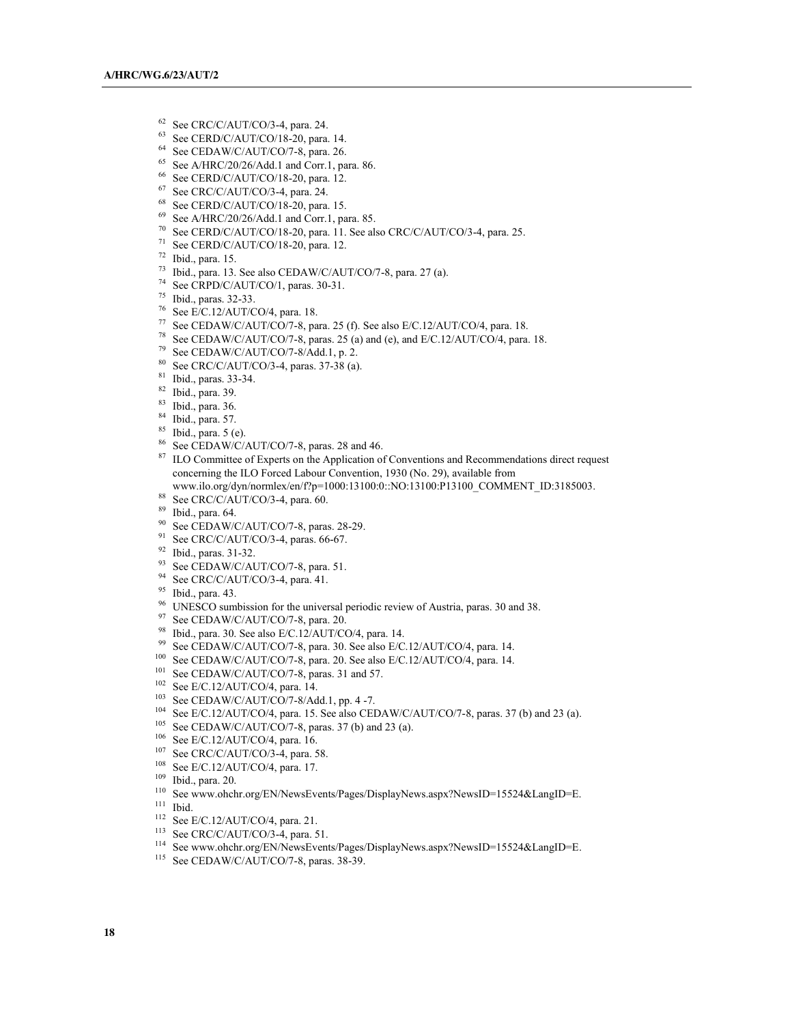- <sup>62</sup> See CRC/C/AUT/CO/3-4, para. 24.<br><sup>63</sup> See CERD/C/AUT/CO/18-20, para. 14.
- 
- 
- <sup>64</sup> See CEDAW/C/AUT/CO/7-8, para. 26.<br><sup>65</sup> See A/HRC/20/26/Add.1 and Corr.1, para. 86.
- <sup>66</sup> See CERD/C/AUT/CO/18-20, para. 12.<br><sup>67</sup> See CRC/C/AUT/CO/3-4, para. 24.
- 
- $68$  See CERD/C/AUT/CO/18-20, para. 15.
- <sup>69</sup> See A/HRC/20/26/Add.1 and Corr.1, para. 85.
- <sup>70</sup> See CERD/C/AUT/CO/18-20, para. 11. See also CRC/C/AUT/CO/3-4, para. 25.<br><sup>71</sup> See CERD/C/AUT/CO/18-20, para. 12.
- 
- 
- <sup>72</sup> Ibid., para. 15.<br><sup>73</sup> Ibid., para. 13. See also CEDAW/C/AUT/CO/7-8, para. 27 (a).
- <sup>74</sup> See CRPD/C/AUT/CO/1, paras. 30-31.
- <sup>75</sup> Ibid., paras. 32-33.
- <sup>76</sup> See E/C.12/AUT/CO/4, para. 18.
- <sup>77</sup> See CEDAW/C/AUT/CO/7-8, para. 25 (f). See also E/C.12/AUT/CO/4, para. 18.
- <sup>78</sup> See CEDAW/C/AUT/CO/7-8, paras. 25 (a) and (e), and E/C.12/AUT/CO/4, para. 18.
- <sup>79</sup> See CEDAW/C/AUT/CO/7-8/Add.1, p. 2.
- <sup>80</sup> See CRC/C/AUT/CO/3-4, paras. 37-38 (a).
- $\frac{81}{82}$  Ibid., paras. 33-34.
- Ibid., para. 39.
- <sup>83</sup> Ibid., para. 36.
- <sup>84</sup> Ibid., para. 57.
- $^{85}$  Ibid., para. 5 (e).<br> $^{86}$  See CEDAW/C/.
- 
- <sup>86</sup> See CEDAW/C/AUT/CO/7-8, paras. 28 and 46.<br><sup>87</sup> ILO Committee of Experts on the Application of Conventions and Recommendations direct request concerning the ILO Forced Labour Convention, 1930 (No. 29), available from
- www.ilo.org/dyn/normlex/en/f?p=1000:13100:0::NO:13100:P13100\_COMMENT\_ID:3185003.
- 88 See CRC/C/AUT/CO/3-4, para. 60.
- 
- <sup>89</sup> Ibid., para. 64.<br><sup>90</sup> See CEDAW/C/AUT/CO/7-8, paras. 28-29.
- $91$  See CRC/C/AUT/CO/3-4, paras. 66-67.
- <sup>92</sup> Ibid., paras. 31-32.
- <sup>93</sup> See CEDAW/C/AUT/CO/7-8, para. 51.<br><sup>94</sup> See CRC/C/AUT/CO/3-4, para. 41.
- 
- <sup>95</sup> Ibid., para. 43.
- <sup>96</sup> UNESCO sumbission for the universal periodic review of Austria, paras. 30 and 38.
- 97 See CEDAW/C/AUT/CO/7-8, para. 20.
- <sup>98</sup> Ibid., para. 30. See also E/C.12/AUT/CO/4, para. 14.
- <sup>99</sup> See CEDAW/C/AUT/CO/7-8, para. 30. See also E/C.12/AUT/CO/4, para. 14.
- <sup>100</sup> See CEDAW/C/AUT/CO/7-8, para. 20. See also E/C.12/AUT/CO/4, para. 14.
- <sup>101</sup> See CEDAW/C/AUT/CO/7-8, paras. 31 and 57.
- <sup>102</sup> See E/C.12/AUT/CO/4, para. 14.
- <sup>103</sup> See CEDAW/C/AUT/CO/7-8/Add.1, pp. 4 -7.
- <sup>104</sup> See E/C.12/AUT/CO/4, para. 15. See also CEDAW/C/AUT/CO/7-8, paras. 37 (b) and 23 (a). See CEDAW/C/AUT/CO/7-8, paras. 37 (b) and 23 (a).
- 
- <sup>106</sup> See E/C.12/AUT/CO/4, para. 16.
- <sup>107</sup> See CRC/C/AUT/CO/3-4, para. 58.
- <sup>108</sup> See E/C.12/AUT/CO/4, para. 17.<br><sup>109</sup> Ibid. para. 20
- Ibid., para. 20.
- <sup>110</sup> See www.ohchr.org/EN/NewsEvents/Pages/DisplayNews.aspx?NewsID=15524&LangID=E.
- <sup>111</sup> Ibid.
- $112$  See E/C.12/AUT/CO/4, para. 21.
- <sup>113</sup> See CRC/C/AUT/CO/3-4, para. 51.
- <sup>114</sup> See www.ohchr.org/EN/NewsEvents/Pages/DisplayNews.aspx?NewsID=15524&LangID=E.
- <sup>115</sup> See CEDAW/C/AUT/CO/7-8, paras. 38-39.